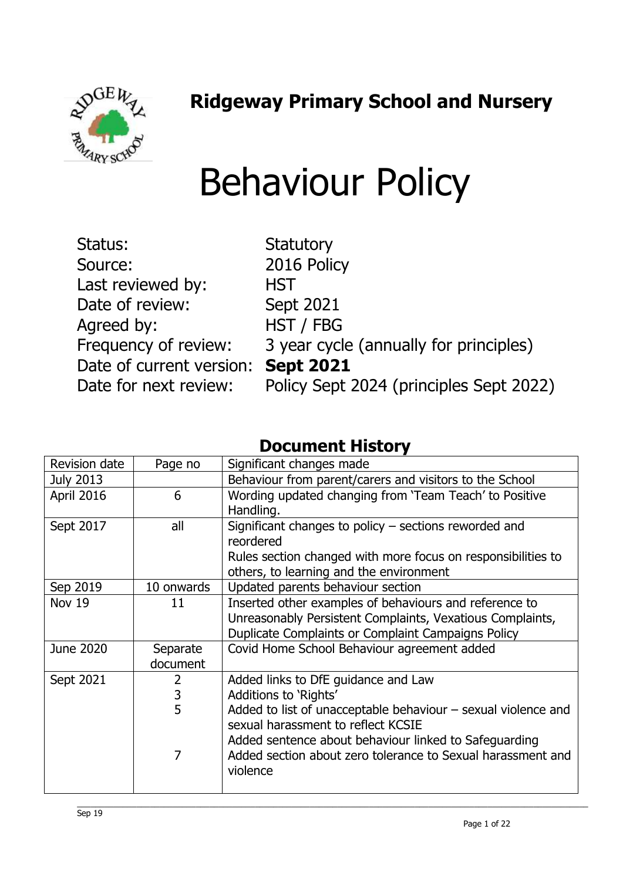$96Eh$ 

## **Ridgeway Primary School and Nursery**

## Behaviour Policy

| Status:                            | <b>Statutory</b>                        |
|------------------------------------|-----------------------------------------|
| Source:                            | 2016 Policy                             |
| Last reviewed by:                  | <b>HST</b>                              |
| Date of review:                    | <b>Sept 2021</b>                        |
| Agreed by:                         | HST / FBG                               |
| Frequency of review:               | 3 year cycle (annually for principles)  |
| Date of current version: Sept 2021 |                                         |
| Date for next review:              | Policy Sept 2024 (principles Sept 2022) |

## **Document History**

| Revision date    | Page no        | Significant changes made                                        |
|------------------|----------------|-----------------------------------------------------------------|
| <b>July 2013</b> |                | Behaviour from parent/carers and visitors to the School         |
| April 2016       | 6              | Wording updated changing from 'Team Teach' to Positive          |
|                  |                | Handling.                                                       |
| Sept 2017        | all            | Significant changes to policy $-$ sections reworded and         |
|                  |                | reordered                                                       |
|                  |                | Rules section changed with more focus on responsibilities to    |
|                  |                | others, to learning and the environment                         |
| Sep 2019         | 10 onwards     | Updated parents behaviour section                               |
| Nov 19           | 11             | Inserted other examples of behaviours and reference to          |
|                  |                | Unreasonably Persistent Complaints, Vexatious Complaints,       |
|                  |                | Duplicate Complaints or Complaint Campaigns Policy              |
| June 2020        | Separate       | Covid Home School Behaviour agreement added                     |
|                  | document       |                                                                 |
| Sept 2021        | $\overline{2}$ | Added links to DfE guidance and Law                             |
|                  | 3              | Additions to 'Rights'                                           |
|                  | 5              | Added to list of unacceptable behaviour $-$ sexual violence and |
|                  |                | sexual harassment to reflect KCSIE                              |
|                  |                | Added sentence about behaviour linked to Safeguarding           |
|                  | 7              | Added section about zero tolerance to Sexual harassment and     |
|                  |                | violence                                                        |
|                  |                |                                                                 |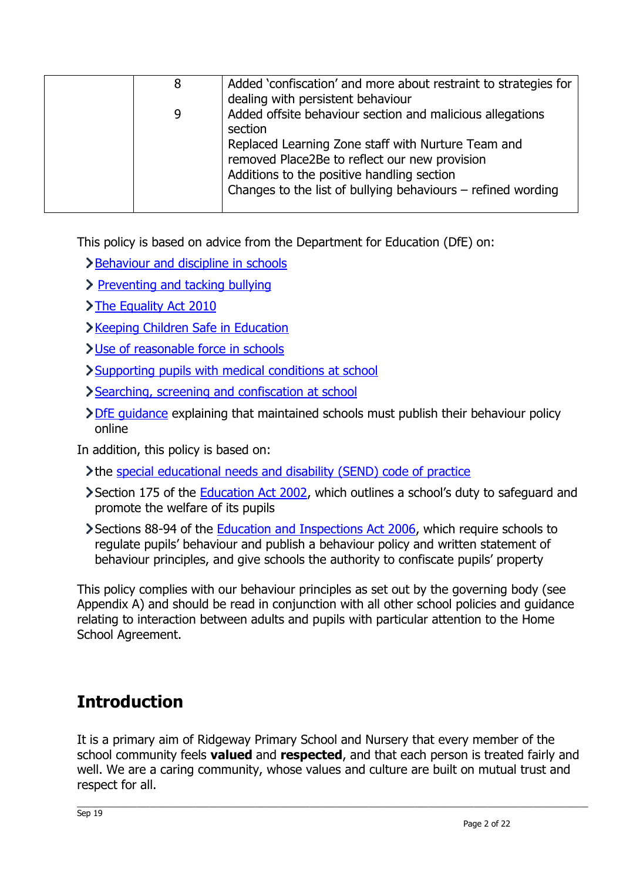| 8 | Added 'confiscation' and more about restraint to strategies for                                                                                                                                                     |
|---|---------------------------------------------------------------------------------------------------------------------------------------------------------------------------------------------------------------------|
|   | dealing with persistent behaviour                                                                                                                                                                                   |
| 9 | Added offsite behaviour section and malicious allegations<br>section                                                                                                                                                |
|   | Replaced Learning Zone staff with Nurture Team and<br>removed Place2Be to reflect our new provision<br>Additions to the positive handling section<br>Changes to the list of bullying behaviours $-$ refined wording |
|   |                                                                                                                                                                                                                     |

This policy is based on advice from the Department for Education (DfE) on:

- >[Behaviour and discipline in schools](https://www.gov.uk/government/publications/behaviour-and-discipline-in-schools)
- > [Preventing and tacking bullying](https://assets.publishing.service.gov.uk/government/uploads/system/uploads/attachment_data/file/623895/Preventing_and_tackling_bullying_advice.pdf)
- [The Equality Act 2010](https://www.gov.uk/government/publications/equality-act-2010-advice-for-schools)
- [Keeping Children Safe in Education](https://www.gov.uk/government/publications/keeping-children-safe-in-education--2)
- [Use of reasonable force in schools](https://www.gov.uk/government/publications/use-of-reasonable-force-in-schools)
- [Supporting pupils with medical conditions at school](https://www.gov.uk/government/publications/supporting-pupils-at-school-with-medical-conditions--3)
- Searching, screening and confiscation at school
- [DfE guidance](https://www.gov.uk/guidance/what-maintained-schools-must-publish-online#behaviour-policy) explaining that maintained schools must publish their behaviour policy online

In addition, this policy is based on:

- the [special educational needs and disability \(SEND\) code of practice](https://www.gov.uk/government/publications/send-code-of-practice-0-to-25)
- Section 175 of the **Education Act 2002**, which outlines a school's duty to safeguard and promote the welfare of its pupils
- Sections 88-94 of the [Education and Inspections Act 2006,](http://www.legislation.gov.uk/ukpga/2006/40/section/88) which require schools to regulate pupils' behaviour and publish a behaviour policy and written statement of behaviour principles, and give schools the authority to confiscate pupils' property

This policy complies with our behaviour principles as set out by the governing body (see Appendix A) and should be read in conjunction with all other school policies and guidance relating to interaction between adults and pupils with particular attention to the Home School Agreement.

## **Introduction**

It is a primary aim of Ridgeway Primary School and Nursery that every member of the school community feels **valued** and **respected**, and that each person is treated fairly and well. We are a caring community, whose values and culture are built on mutual trust and respect for all.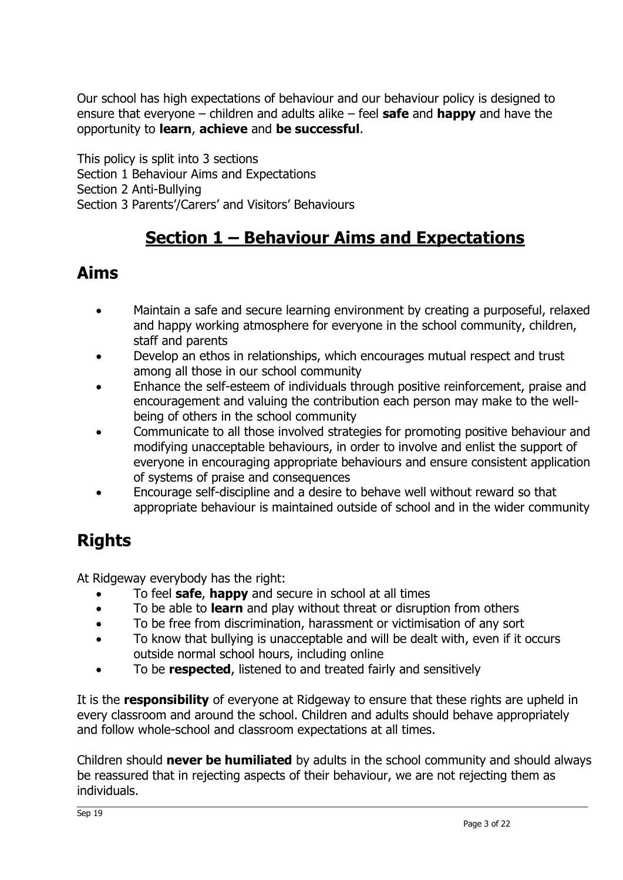Our school has high expectations of behaviour and our behaviour policy is designed to ensure that everyone – children and adults alike – feel **safe** and **happy** and have the opportunity to **learn**, **achieve** and **be successful**.

This policy is split into 3 sections Section 1 Behaviour Aims and Expectations Section 2 Anti-Bullying Section 3 Parents'/Carers' and Visitors' Behaviours

## **Section 1 – Behaviour Aims and Expectations**

### **Aims**

- Maintain a safe and secure learning environment by creating a purposeful, relaxed and happy working atmosphere for everyone in the school community, children, staff and parents
- Develop an ethos in relationships, which encourages mutual respect and trust among all those in our school community
- Enhance the self-esteem of individuals through positive reinforcement, praise and encouragement and valuing the contribution each person may make to the wellbeing of others in the school community
- Communicate to all those involved strategies for promoting positive behaviour and modifying unacceptable behaviours, in order to involve and enlist the support of everyone in encouraging appropriate behaviours and ensure consistent application of systems of praise and consequences
- Encourage self-discipline and a desire to behave well without reward so that appropriate behaviour is maintained outside of school and in the wider community

## **Rights**

At Ridgeway everybody has the right:

- To feel **safe**, **happy** and secure in school at all times
- To be able to **learn** and play without threat or disruption from others
- To be free from discrimination, harassment or victimisation of any sort
- To know that bullying is unacceptable and will be dealt with, even if it occurs outside normal school hours, including online
- To be **respected**, listened to and treated fairly and sensitively

It is the **responsibility** of everyone at Ridgeway to ensure that these rights are upheld in every classroom and around the school. Children and adults should behave appropriately and follow whole-school and classroom expectations at all times.

Children should **never be humiliated** by adults in the school community and should always be reassured that in rejecting aspects of their behaviour, we are not rejecting them as individuals.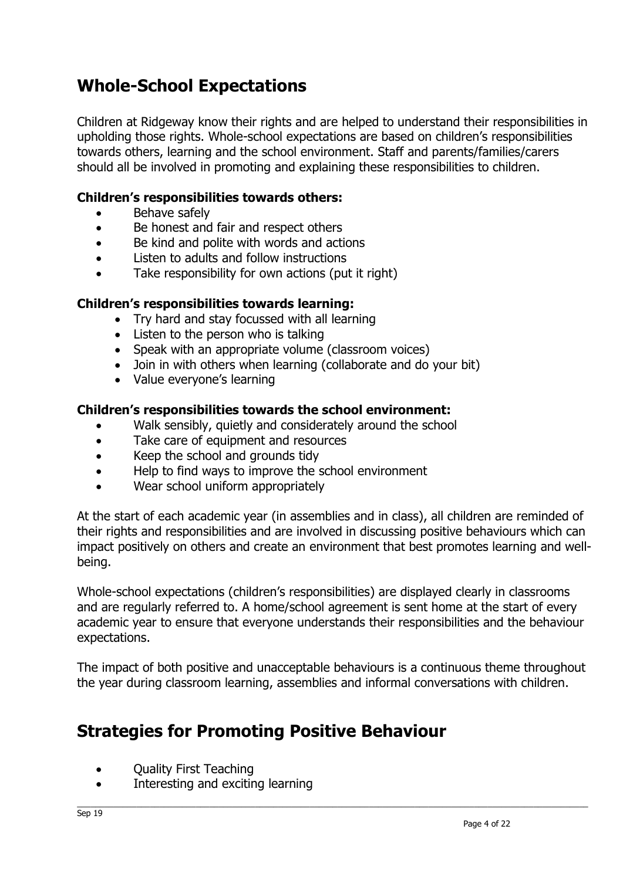## **Whole-School Expectations**

Children at Ridgeway know their rights and are helped to understand their responsibilities in upholding those rights. Whole-school expectations are based on children's responsibilities towards others, learning and the school environment. Staff and parents/families/carers should all be involved in promoting and explaining these responsibilities to children.

#### **Children's responsibilities towards others:**

- Behave safely
- Be honest and fair and respect others
- Be kind and polite with words and actions
- Listen to adults and follow instructions
- Take responsibility for own actions (put it right)

#### **Children's responsibilities towards learning:**

- Try hard and stay focussed with all learning
- Listen to the person who is talking
- Speak with an appropriate volume (classroom voices)
- Join in with others when learning (collaborate and do your bit)
- Value everyone's learning

#### **Children's responsibilities towards the school environment:**

- Walk sensibly, quietly and considerately around the school
- Take care of equipment and resources
- Keep the school and grounds tidy
- Help to find ways to improve the school environment
- Wear school uniform appropriately

At the start of each academic year (in assemblies and in class), all children are reminded of their rights and responsibilities and are involved in discussing positive behaviours which can impact positively on others and create an environment that best promotes learning and wellbeing.

Whole-school expectations (children's responsibilities) are displayed clearly in classrooms and are regularly referred to. A home/school agreement is sent home at the start of every academic year to ensure that everyone understands their responsibilities and the behaviour expectations.

The impact of both positive and unacceptable behaviours is a continuous theme throughout the year during classroom learning, assemblies and informal conversations with children.

## **Strategies for Promoting Positive Behaviour**

- Quality First Teaching
- Interesting and exciting learning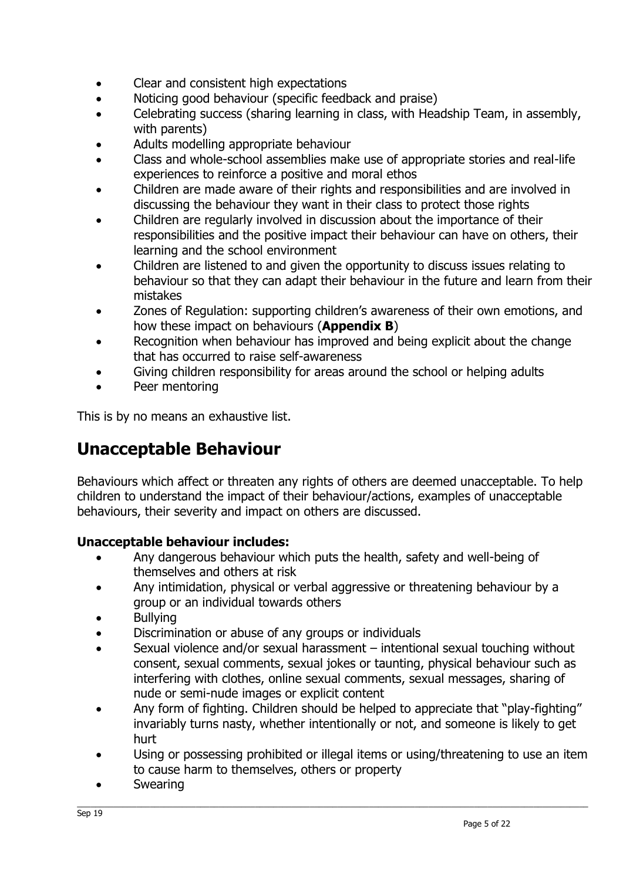- Clear and consistent high expectations
- Noticing good behaviour (specific feedback and praise)
- Celebrating success (sharing learning in class, with Headship Team, in assembly, with parents)
- Adults modelling appropriate behaviour
- Class and whole-school assemblies make use of appropriate stories and real-life experiences to reinforce a positive and moral ethos
- Children are made aware of their rights and responsibilities and are involved in discussing the behaviour they want in their class to protect those rights
- Children are regularly involved in discussion about the importance of their responsibilities and the positive impact their behaviour can have on others, their learning and the school environment
- Children are listened to and given the opportunity to discuss issues relating to behaviour so that they can adapt their behaviour in the future and learn from their mistakes
- Zones of Regulation: supporting children's awareness of their own emotions, and how these impact on behaviours (**Appendix B**)
- Recognition when behaviour has improved and being explicit about the change that has occurred to raise self-awareness
- Giving children responsibility for areas around the school or helping adults
- Peer mentoring

This is by no means an exhaustive list.

## **Unacceptable Behaviour**

Behaviours which affect or threaten any rights of others are deemed unacceptable. To help children to understand the impact of their behaviour/actions, examples of unacceptable behaviours, their severity and impact on others are discussed.

#### **Unacceptable behaviour includes:**

- Any dangerous behaviour which puts the health, safety and well-being of themselves and others at risk
- Any intimidation, physical or verbal aggressive or threatening behaviour by a group or an individual towards others
- Bullying
- Discrimination or abuse of any groups or individuals
- Sexual violence and/or sexual harassment intentional sexual touching without consent, sexual comments, sexual jokes or taunting, physical behaviour such as interfering with clothes, online sexual comments, sexual messages, sharing of nude or semi-nude images or explicit content
- Any form of fighting. Children should be helped to appreciate that "play-fighting" invariably turns nasty, whether intentionally or not, and someone is likely to get hurt
- Using or possessing prohibited or illegal items or using/threatening to use an item to cause harm to themselves, others or property
- **Swearing**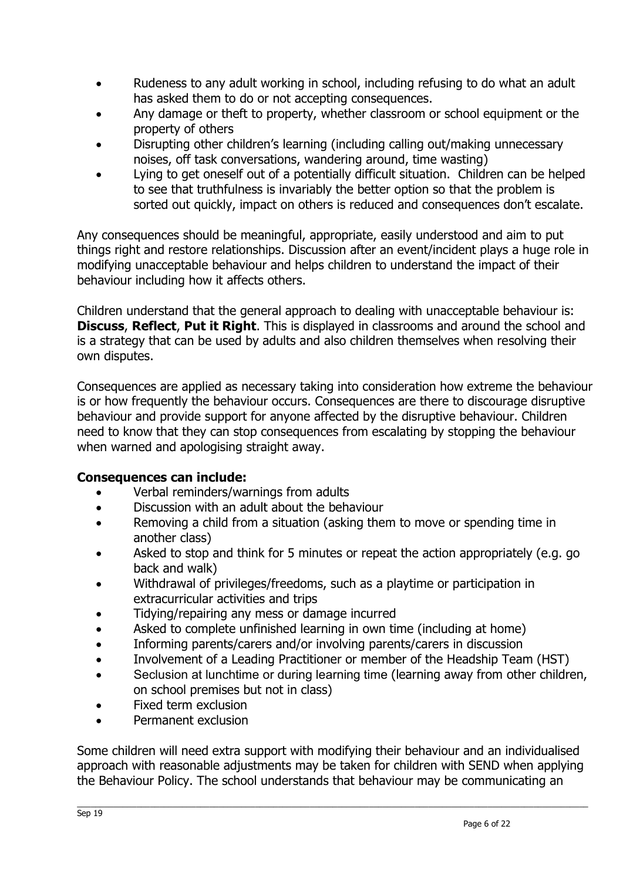- Rudeness to any adult working in school, including refusing to do what an adult has asked them to do or not accepting consequences.
- Any damage or theft to property, whether classroom or school equipment or the property of others
- Disrupting other children's learning (including calling out/making unnecessary noises, off task conversations, wandering around, time wasting)
- Lying to get oneself out of a potentially difficult situation. Children can be helped to see that truthfulness is invariably the better option so that the problem is sorted out quickly, impact on others is reduced and consequences don't escalate.

Any consequences should be meaningful, appropriate, easily understood and aim to put things right and restore relationships. Discussion after an event/incident plays a huge role in modifying unacceptable behaviour and helps children to understand the impact of their behaviour including how it affects others.

Children understand that the general approach to dealing with unacceptable behaviour is: **Discuss**, **Reflect**, **Put it Right**. This is displayed in classrooms and around the school and is a strategy that can be used by adults and also children themselves when resolving their own disputes.

Consequences are applied as necessary taking into consideration how extreme the behaviour is or how frequently the behaviour occurs. Consequences are there to discourage disruptive behaviour and provide support for anyone affected by the disruptive behaviour. Children need to know that they can stop consequences from escalating by stopping the behaviour when warned and apologising straight away.

#### **Consequences can include:**

- Verbal reminders/warnings from adults
- Discussion with an adult about the behaviour
- Removing a child from a situation (asking them to move or spending time in another class)
- Asked to stop and think for 5 minutes or repeat the action appropriately (e.g. go back and walk)
- Withdrawal of privileges/freedoms, such as a playtime or participation in extracurricular activities and trips
- Tidying/repairing any mess or damage incurred
- Asked to complete unfinished learning in own time (including at home)
- Informing parents/carers and/or involving parents/carers in discussion
- Involvement of a Leading Practitioner or member of the Headship Team (HST)
- Seclusion at lunchtime or during learning time (learning away from other children, on school premises but not in class)
- Fixed term exclusion
- Permanent exclusion

Some children will need extra support with modifying their behaviour and an individualised approach with reasonable adjustments may be taken for children with SEND when applying the Behaviour Policy. The school understands that behaviour may be communicating an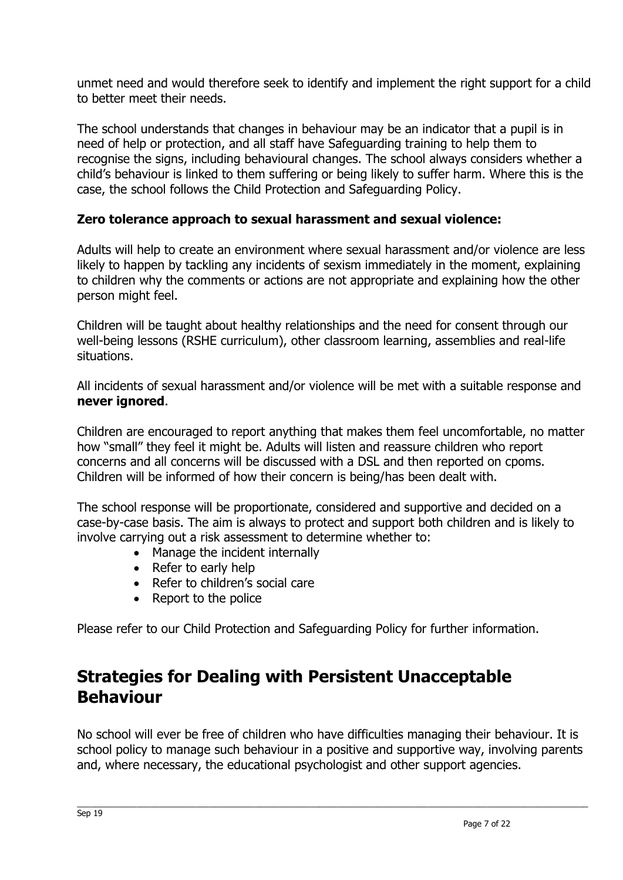unmet need and would therefore seek to identify and implement the right support for a child to better meet their needs.

The school understands that changes in behaviour may be an indicator that a pupil is in need of help or protection, and all staff have Safeguarding training to help them to recognise the signs, including behavioural changes. The school always considers whether a child's behaviour is linked to them suffering or being likely to suffer harm. Where this is the case, the school follows the Child Protection and Safeguarding Policy.

#### **Zero tolerance approach to sexual harassment and sexual violence:**

Adults will help to create an environment where sexual harassment and/or violence are less likely to happen by tackling any incidents of sexism immediately in the moment, explaining to children why the comments or actions are not appropriate and explaining how the other person might feel.

Children will be taught about healthy relationships and the need for consent through our well-being lessons (RSHE curriculum), other classroom learning, assemblies and real-life situations.

All incidents of sexual harassment and/or violence will be met with a suitable response and **never ignored**.

Children are encouraged to report anything that makes them feel uncomfortable, no matter how "small" they feel it might be. Adults will listen and reassure children who report concerns and all concerns will be discussed with a DSL and then reported on cpoms. Children will be informed of how their concern is being/has been dealt with.

The school response will be proportionate, considered and supportive and decided on a case-by-case basis. The aim is always to protect and support both children and is likely to involve carrying out a risk assessment to determine whether to:

- Manage the incident internally
- Refer to early help
- Refer to children's social care
- Report to the police

Please refer to our Child Protection and Safeguarding Policy for further information.

## **Strategies for Dealing with Persistent Unacceptable Behaviour**

No school will ever be free of children who have difficulties managing their behaviour. It is school policy to manage such behaviour in a positive and supportive way, involving parents and, where necessary, the educational psychologist and other support agencies.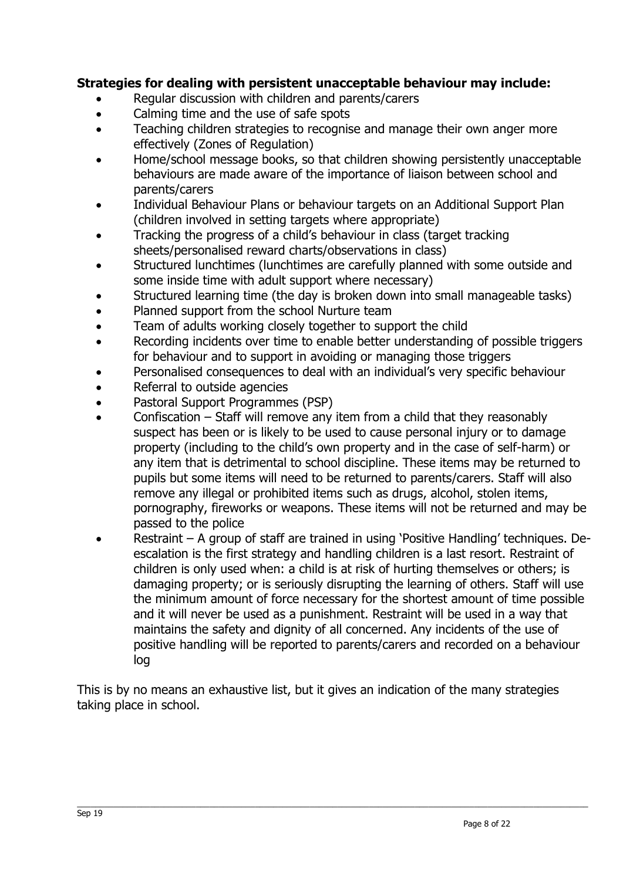#### **Strategies for dealing with persistent unacceptable behaviour may include:**

- Regular discussion with children and parents/carers
- Calming time and the use of safe spots
- Teaching children strategies to recognise and manage their own anger more effectively (Zones of Regulation)
- Home/school message books, so that children showing persistently unacceptable behaviours are made aware of the importance of liaison between school and parents/carers
- Individual Behaviour Plans or behaviour targets on an Additional Support Plan (children involved in setting targets where appropriate)
- Tracking the progress of a child's behaviour in class (target tracking sheets/personalised reward charts/observations in class)
- Structured lunchtimes (lunchtimes are carefully planned with some outside and some inside time with adult support where necessary)
- Structured learning time (the day is broken down into small manageable tasks)
- Planned support from the school Nurture team
- Team of adults working closely together to support the child
- Recording incidents over time to enable better understanding of possible triggers for behaviour and to support in avoiding or managing those triggers
- Personalised consequences to deal with an individual's very specific behaviour
- Referral to outside agencies
- Pastoral Support Programmes (PSP)
- Confiscation Staff will remove any item from a child that they reasonably suspect has been or is likely to be used to cause personal injury or to damage property (including to the child's own property and in the case of self-harm) or any item that is detrimental to school discipline. These items may be returned to pupils but some items will need to be returned to parents/carers. Staff will also remove any illegal or prohibited items such as drugs, alcohol, stolen items, pornography, fireworks or weapons. These items will not be returned and may be passed to the police
- Restraint A group of staff are trained in using 'Positive Handling' techniques. Deescalation is the first strategy and handling children is a last resort. Restraint of children is only used when: a child is at risk of hurting themselves or others; is damaging property; or is seriously disrupting the learning of others. Staff will use the minimum amount of force necessary for the shortest amount of time possible and it will never be used as a punishment. Restraint will be used in a way that maintains the safety and dignity of all concerned. Any incidents of the use of positive handling will be reported to parents/carers and recorded on a behaviour log

This is by no means an exhaustive list, but it gives an indication of the many strategies taking place in school.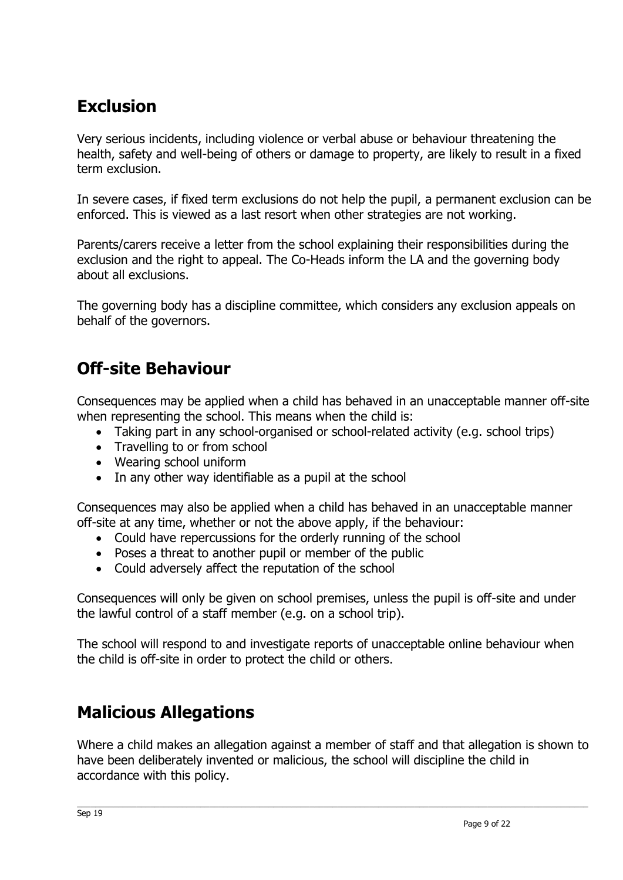## **Exclusion**

Very serious incidents, including violence or verbal abuse or behaviour threatening the health, safety and well-being of others or damage to property, are likely to result in a fixed term exclusion.

In severe cases, if fixed term exclusions do not help the pupil, a permanent exclusion can be enforced. This is viewed as a last resort when other strategies are not working.

Parents/carers receive a letter from the school explaining their responsibilities during the exclusion and the right to appeal. The Co-Heads inform the LA and the governing body about all exclusions.

The governing body has a discipline committee, which considers any exclusion appeals on behalf of the governors.

## **Off-site Behaviour**

Consequences may be applied when a child has behaved in an unacceptable manner off-site when representing the school. This means when the child is:

- Taking part in any school-organised or school-related activity (e.g. school trips)
- Travelling to or from school
- Wearing school uniform
- In any other way identifiable as a pupil at the school

Consequences may also be applied when a child has behaved in an unacceptable manner off-site at any time, whether or not the above apply, if the behaviour:

- Could have repercussions for the orderly running of the school
- Poses a threat to another pupil or member of the public
- Could adversely affect the reputation of the school

Consequences will only be given on school premises, unless the pupil is off-site and under the lawful control of a staff member (e.g. on a school trip).

The school will respond to and investigate reports of unacceptable online behaviour when the child is off-site in order to protect the child or others.

## **Malicious Allegations**

Where a child makes an allegation against a member of staff and that allegation is shown to have been deliberately invented or malicious, the school will discipline the child in accordance with this policy.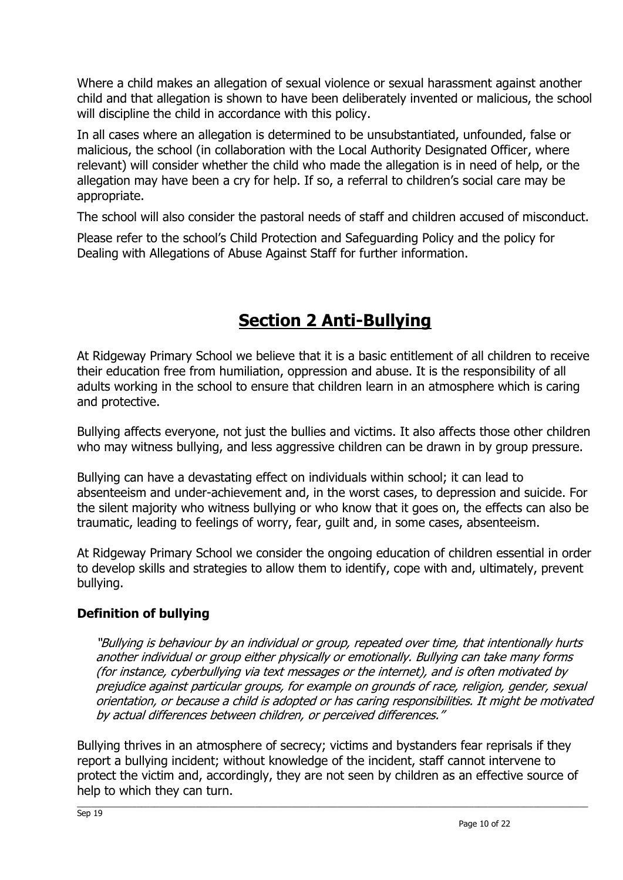Where a child makes an allegation of sexual violence or sexual harassment against another child and that allegation is shown to have been deliberately invented or malicious, the school will discipline the child in accordance with this policy.

In all cases where an allegation is determined to be unsubstantiated, unfounded, false or malicious, the school (in collaboration with the Local Authority Designated Officer, where relevant) will consider whether the child who made the allegation is in need of help, or the allegation may have been a cry for help. If so, a referral to children's social care may be appropriate.

The school will also consider the pastoral needs of staff and children accused of misconduct.

Please refer to the school's Child Protection and Safeguarding Policy and the policy for Dealing with Allegations of Abuse Against Staff for further information.

## **Section 2 Anti-Bullying**

At Ridgeway Primary School we believe that it is a basic entitlement of all children to receive their education free from humiliation, oppression and abuse. It is the responsibility of all adults working in the school to ensure that children learn in an atmosphere which is caring and protective.

Bullying affects everyone, not just the bullies and victims. It also affects those other children who may witness bullying, and less aggressive children can be drawn in by group pressure.

Bullying can have a devastating effect on individuals within school; it can lead to absenteeism and under-achievement and, in the worst cases, to depression and suicide. For the silent majority who witness bullying or who know that it goes on, the effects can also be traumatic, leading to feelings of worry, fear, guilt and, in some cases, absenteeism.

At Ridgeway Primary School we consider the ongoing education of children essential in order to develop skills and strategies to allow them to identify, cope with and, ultimately, prevent bullying.

#### **Definition of bullying**

"Bullying is behaviour by an individual or group, repeated over time, that intentionally hurts another individual or group either physically or emotionally. Bullying can take many forms (for instance, cyberbullying via text messages or the internet), and is often motivated by prejudice against particular groups, for example on grounds of race, religion, gender, sexual orientation, or because a child is adopted or has caring responsibilities. It might be motivated by actual differences between children, or perceived differences."

Bullying thrives in an atmosphere of secrecy; victims and bystanders fear reprisals if they report a bullying incident; without knowledge of the incident, staff cannot intervene to protect the victim and, accordingly, they are not seen by children as an effective source of help to which they can turn.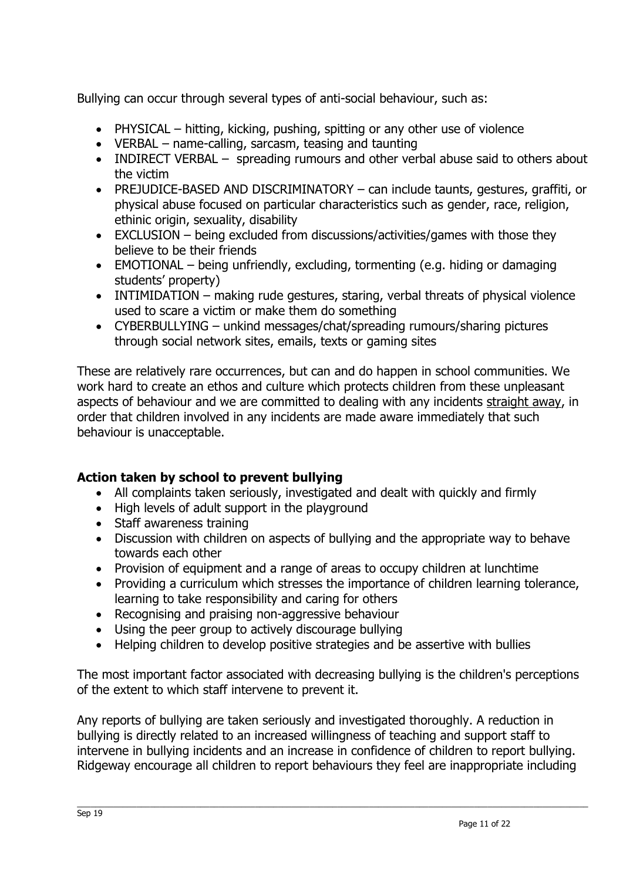Bullying can occur through several types of anti-social behaviour, such as:

- PHYSICAL hitting, kicking, pushing, spitting or any other use of violence
- VERBAL name-calling, sarcasm, teasing and taunting
- INDIRECT VERBAL spreading rumours and other verbal abuse said to others about the victim
- PREJUDICE-BASED AND DISCRIMINATORY can include taunts, gestures, graffiti, or physical abuse focused on particular characteristics such as gender, race, religion, ethinic origin, sexuality, disability
- EXCLUSION being excluded from discussions/activities/games with those they believe to be their friends
- EMOTIONAL being unfriendly, excluding, tormenting (e.g. hiding or damaging students' property)
- INTIMIDATION making rude gestures, staring, verbal threats of physical violence used to scare a victim or make them do something
- CYBERBULLYING unkind messages/chat/spreading rumours/sharing pictures through social network sites, emails, texts or gaming sites

These are relatively rare occurrences, but can and do happen in school communities. We work hard to create an ethos and culture which protects children from these unpleasant aspects of behaviour and we are committed to dealing with any incidents straight away, in order that children involved in any incidents are made aware immediately that such behaviour is unacceptable.

#### **Action taken by school to prevent bullying**

- All complaints taken seriously, investigated and dealt with quickly and firmly
- High levels of adult support in the playground
- Staff awareness training
- Discussion with children on aspects of bullying and the appropriate way to behave towards each other
- Provision of equipment and a range of areas to occupy children at lunchtime
- Providing a curriculum which stresses the importance of children learning tolerance, learning to take responsibility and caring for others
- Recognising and praising non-aggressive behaviour
- Using the peer group to actively discourage bullying
- Helping children to develop positive strategies and be assertive with bullies

The most important factor associated with decreasing bullying is the children's perceptions of the extent to which staff intervene to prevent it.

Any reports of bullying are taken seriously and investigated thoroughly. A reduction in bullying is directly related to an increased willingness of teaching and support staff to intervene in bullying incidents and an increase in confidence of children to report bullying. Ridgeway encourage all children to report behaviours they feel are inappropriate including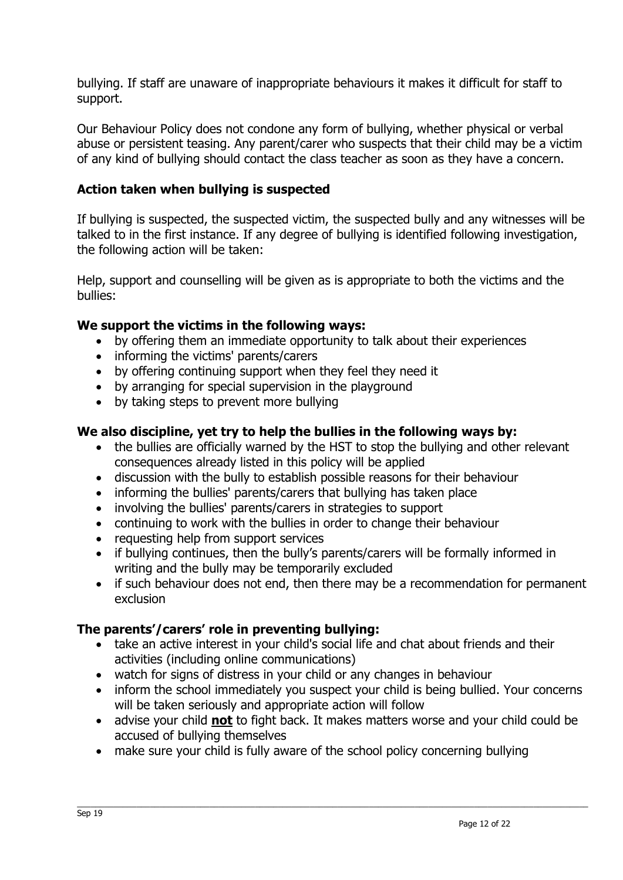bullying. If staff are unaware of inappropriate behaviours it makes it difficult for staff to support.

Our Behaviour Policy does not condone any form of bullying, whether physical or verbal abuse or persistent teasing. Any parent/carer who suspects that their child may be a victim of any kind of bullying should contact the class teacher as soon as they have a concern.

#### **Action taken when bullying is suspected**

If bullying is suspected, the suspected victim, the suspected bully and any witnesses will be talked to in the first instance. If any degree of bullying is identified following investigation, the following action will be taken:

Help, support and counselling will be given as is appropriate to both the victims and the bullies:

#### **We support the victims in the following ways:**

- by offering them an immediate opportunity to talk about their experiences
- informing the victims' parents/carers
- by offering continuing support when they feel they need it
- by arranging for special supervision in the playground
- by taking steps to prevent more bullying

#### **We also discipline, yet try to help the bullies in the following ways by:**

- the bullies are officially warned by the HST to stop the bullying and other relevant consequences already listed in this policy will be applied
- discussion with the bully to establish possible reasons for their behaviour
- informing the bullies' parents/carers that bullying has taken place
- involving the bullies' parents/carers in strategies to support
- continuing to work with the bullies in order to change their behaviour
- requesting help from support services
- if bullying continues, then the bully's parents/carers will be formally informed in writing and the bully may be temporarily excluded
- if such behaviour does not end, then there may be a recommendation for permanent exclusion

#### **The parents'/carers' role in preventing bullying:**

- take an active interest in your child's social life and chat about friends and their activities (including online communications)
- watch for signs of distress in your child or any changes in behaviour
- inform the school immediately you suspect your child is being bullied. Your concerns will be taken seriously and appropriate action will follow
- advise your child **not** to fight back. It makes matters worse and your child could be accused of bullying themselves
- make sure your child is fully aware of the school policy concerning bullying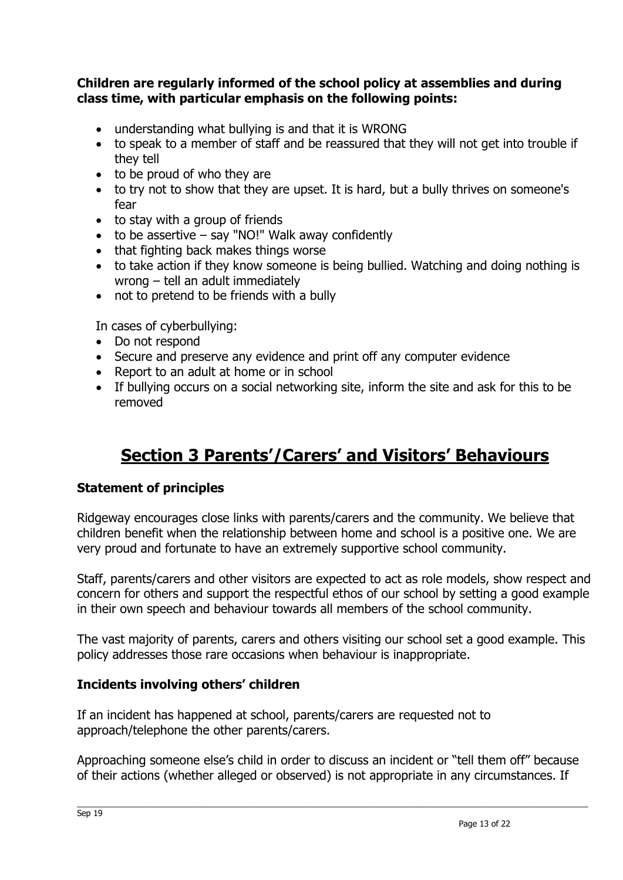#### **Children are regularly informed of the school policy at assemblies and during class time, with particular emphasis on the following points:**

- understanding what bullying is and that it is WRONG
- to speak to a member of staff and be reassured that they will not get into trouble if they tell
- to be proud of who they are
- to try not to show that they are upset. It is hard, but a bully thrives on someone's fear
- to stay with a group of friends
- $\bullet$  to be assertive say "NO!" Walk away confidently
- that fighting back makes things worse
- to take action if they know someone is being bullied. Watching and doing nothing is wrong – tell an adult immediately
- not to pretend to be friends with a bully

In cases of cyberbullying:

- Do not respond
- Secure and preserve any evidence and print off any computer evidence
- Report to an adult at home or in school
- If bullying occurs on a social networking site, inform the site and ask for this to be removed

## **Section 3 Parents'/Carers' and Visitors' Behaviours**

#### **Statement of principles**

Ridgeway encourages close links with parents/carers and the community. We believe that children benefit when the relationship between home and school is a positive one. We are very proud and fortunate to have an extremely supportive school community.

Staff, parents/carers and other visitors are expected to act as role models, show respect and concern for others and support the respectful ethos of our school by setting a good example in their own speech and behaviour towards all members of the school community.

The vast majority of parents, carers and others visiting our school set a good example. This policy addresses those rare occasions when behaviour is inappropriate.

#### **Incidents involving others' children**

If an incident has happened at school, parents/carers are requested not to approach/telephone the other parents/carers.

Approaching someone else's child in order to discuss an incident or "tell them off" because of their actions (whether alleged or observed) is not appropriate in any circumstances. If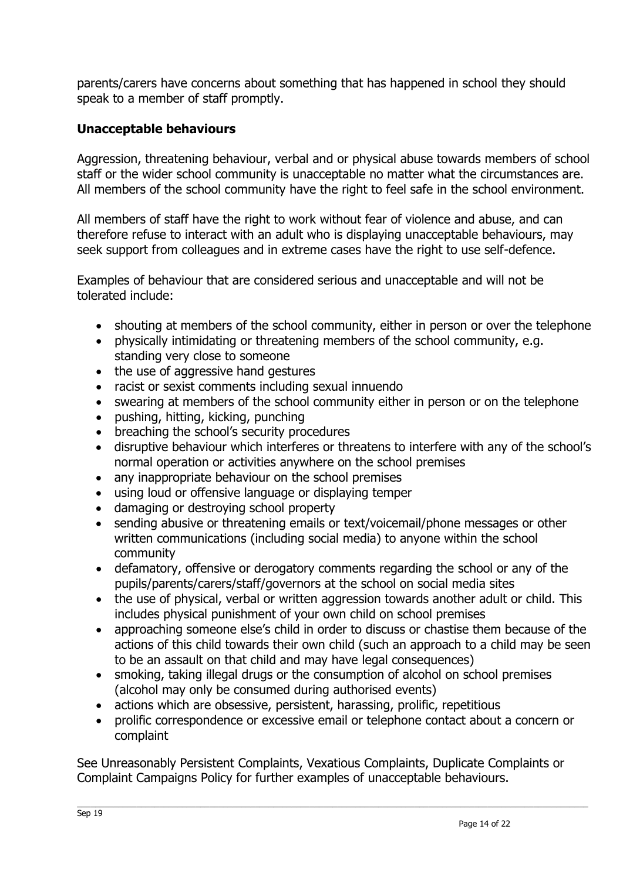parents/carers have concerns about something that has happened in school they should speak to a member of staff promptly.

#### **Unacceptable behaviours**

Aggression, threatening behaviour, verbal and or physical abuse towards members of school staff or the wider school community is unacceptable no matter what the circumstances are. All members of the school community have the right to feel safe in the school environment.

All members of staff have the right to work without fear of violence and abuse, and can therefore refuse to interact with an adult who is displaying unacceptable behaviours, may seek support from colleagues and in extreme cases have the right to use self-defence.

Examples of behaviour that are considered serious and unacceptable and will not be tolerated include:

- shouting at members of the school community, either in person or over the telephone
- physically intimidating or threatening members of the school community, e.g. standing very close to someone
- the use of aggressive hand gestures
- racist or sexist comments including sexual innuendo
- swearing at members of the school community either in person or on the telephone
- pushing, hitting, kicking, punching
- breaching the school's security procedures
- disruptive behaviour which interferes or threatens to interfere with any of the school's normal operation or activities anywhere on the school premises
- any inappropriate behaviour on the school premises
- using loud or offensive language or displaying temper
- damaging or destroying school property
- sending abusive or threatening emails or text/voicemail/phone messages or other written communications (including social media) to anyone within the school community
- defamatory, offensive or derogatory comments regarding the school or any of the pupils/parents/carers/staff/governors at the school on social media sites
- the use of physical, verbal or written aggression towards another adult or child. This includes physical punishment of your own child on school premises
- approaching someone else's child in order to discuss or chastise them because of the actions of this child towards their own child (such an approach to a child may be seen to be an assault on that child and may have legal consequences)
- smoking, taking illegal drugs or the consumption of alcohol on school premises (alcohol may only be consumed during authorised events)
- actions which are obsessive, persistent, harassing, prolific, repetitious
- prolific correspondence or excessive email or telephone contact about a concern or complaint

See Unreasonably Persistent Complaints, Vexatious Complaints, Duplicate Complaints or Complaint Campaigns Policy for further examples of unacceptable behaviours.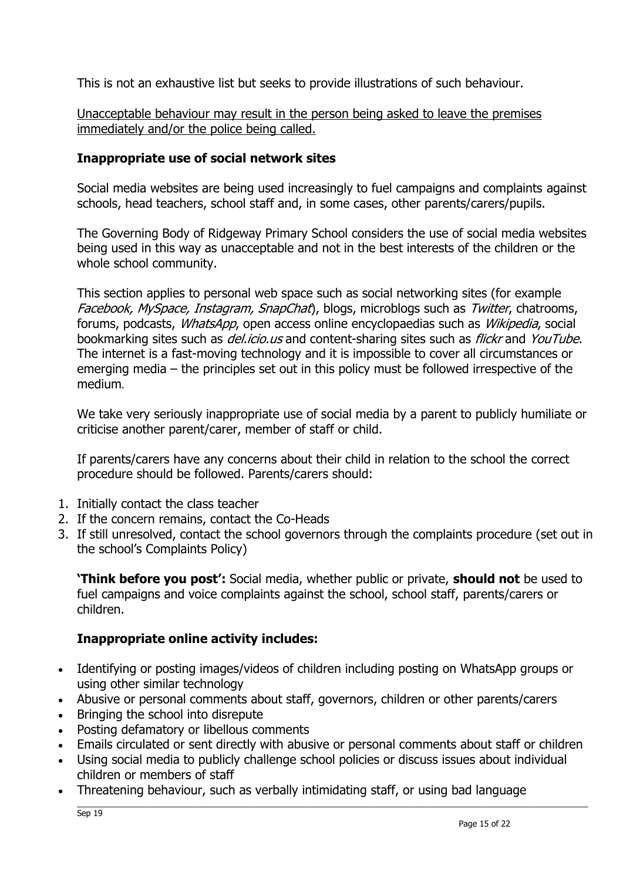This is not an exhaustive list but seeks to provide illustrations of such behaviour.

Unacceptable behaviour may result in the person being asked to leave the premises immediately and/or the police being called.

#### **Inappropriate use of social network sites**

Social media websites are being used increasingly to fuel campaigns and complaints against schools, head teachers, school staff and, in some cases, other parents/carers/pupils.

The Governing Body of Ridgeway Primary School considers the use of social media websites being used in this way as unacceptable and not in the best interests of the children or the whole school community.

This section applies to personal web space such as social networking sites (for example Facebook, MySpace, Instagram, SnapChat), blogs, microblogs such as Twitter, chatrooms, forums, podcasts, *WhatsApp*, open access online encyclopaedias such as *Wikipedia*, social bookmarking sites such as *del.icio.us* and content-sharing sites such as *flickr* and YouTube. The internet is a fast-moving technology and it is impossible to cover all circumstances or emerging media – the principles set out in this policy must be followed irrespective of the medium.

We take very seriously inappropriate use of social media by a parent to publicly humiliate or criticise another parent/carer, member of staff or child.

If parents/carers have any concerns about their child in relation to the school the correct procedure should be followed. Parents/carers should:

- 1. Initially contact the class teacher
- 2. If the concern remains, contact the Co-Heads
- 3. If still unresolved, contact the school governors through the complaints procedure (set out in the school's Complaints Policy)

**'Think before you post':** Social media, whether public or private, **should not** be used to fuel campaigns and voice complaints against the school, school staff, parents/carers or children.

#### **Inappropriate online activity includes:**

- Identifying or posting images/videos of children including posting on WhatsApp groups or using other similar technology
- Abusive or personal comments about staff, governors, children or other parents/carers
- Bringing the school into disrepute
- Posting defamatory or libellous comments
- Emails circulated or sent directly with abusive or personal comments about staff or children
- Using social media to publicly challenge school policies or discuss issues about individual children or members of staff
- Threatening behaviour, such as verbally intimidating staff, or using bad language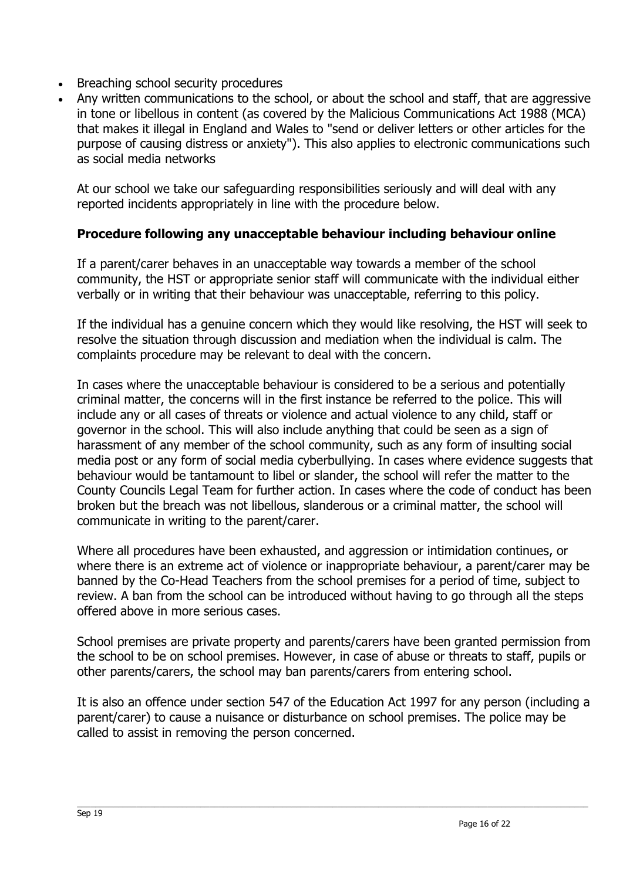- Breaching school security procedures
- Any written communications to the school, or about the school and staff, that are aggressive in tone or libellous in content (as covered by the Malicious Communications Act 1988 (MCA) that makes it illegal in England and Wales to "send or deliver letters or other articles for the purpose of causing distress or anxiety"). This also applies to electronic communications such as social media networks

At our school we take our safeguarding responsibilities seriously and will deal with any reported incidents appropriately in line with the procedure below.

#### **Procedure following any unacceptable behaviour including behaviour online**

If a parent/carer behaves in an unacceptable way towards a member of the school community, the HST or appropriate senior staff will communicate with the individual either verbally or in writing that their behaviour was unacceptable, referring to this policy.

If the individual has a genuine concern which they would like resolving, the HST will seek to resolve the situation through discussion and mediation when the individual is calm. The complaints procedure may be relevant to deal with the concern.

In cases where the unacceptable behaviour is considered to be a serious and potentially criminal matter, the concerns will in the first instance be referred to the police. This will include any or all cases of threats or violence and actual violence to any child, staff or governor in the school. This will also include anything that could be seen as a sign of harassment of any member of the school community, such as any form of insulting social media post or any form of social media cyberbullying. In cases where evidence suggests that behaviour would be tantamount to libel or slander, the school will refer the matter to the County Councils Legal Team for further action. In cases where the code of conduct has been broken but the breach was not libellous, slanderous or a criminal matter, the school will communicate in writing to the parent/carer.

Where all procedures have been exhausted, and aggression or intimidation continues, or where there is an extreme act of violence or inappropriate behaviour, a parent/carer may be banned by the Co-Head Teachers from the school premises for a period of time, subject to review. A ban from the school can be introduced without having to go through all the steps offered above in more serious cases.

School premises are private property and parents/carers have been granted permission from the school to be on school premises. However, in case of abuse or threats to staff, pupils or other parents/carers, the school may ban parents/carers from entering school.

It is also an offence under section 547 of the Education Act 1997 for any person (including a parent/carer) to cause a nuisance or disturbance on school premises. The police may be called to assist in removing the person concerned.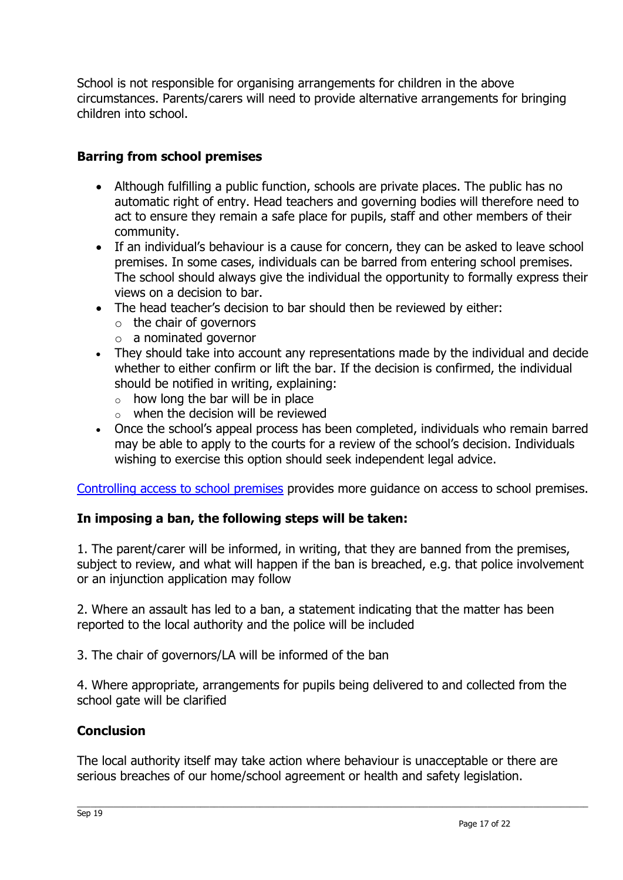School is not responsible for organising arrangements for children in the above circumstances. Parents/carers will need to provide alternative arrangements for bringing children into school.

#### **Barring from school premises**

- Although fulfilling a public function, schools are private places. The public has no automatic right of entry. Head teachers and governing bodies will therefore need to act to ensure they remain a safe place for pupils, staff and other members of their community.
- If an individual's behaviour is a cause for concern, they can be asked to leave school premises. In some cases, individuals can be barred from entering school premises. The school should always give the individual the opportunity to formally express their views on a decision to bar.
- The head teacher's decision to bar should then be reviewed by either:
	- $\circ$  the chair of governors
	- o a nominated governor
- They should take into account any representations made by the individual and decide whether to either confirm or lift the bar. If the decision is confirmed, the individual should be notified in writing, explaining:
	- $\circ$  how long the bar will be in place
	- $\circ$  when the decision will be reviewed
- Once the school's appeal process has been completed, individuals who remain barred may be able to apply to the courts for a review of the school's decision. Individuals wishing to exercise this option should seek independent legal advice.

[Controlling access to school premises](https://www.gov.uk/government/publications/controlling-access-to-school-premises) provides more guidance on access to school premises.

#### **In imposing a ban, the following steps will be taken:**

1. The parent/carer will be informed, in writing, that they are banned from the premises, subject to review, and what will happen if the ban is breached, e.g. that police involvement or an injunction application may follow

2. Where an assault has led to a ban, a statement indicating that the matter has been reported to the local authority and the police will be included

3. The chair of governors/LA will be informed of the ban

4. Where appropriate, arrangements for pupils being delivered to and collected from the school gate will be clarified

#### **Conclusion**

The local authority itself may take action where behaviour is unacceptable or there are serious breaches of our home/school agreement or health and safety legislation.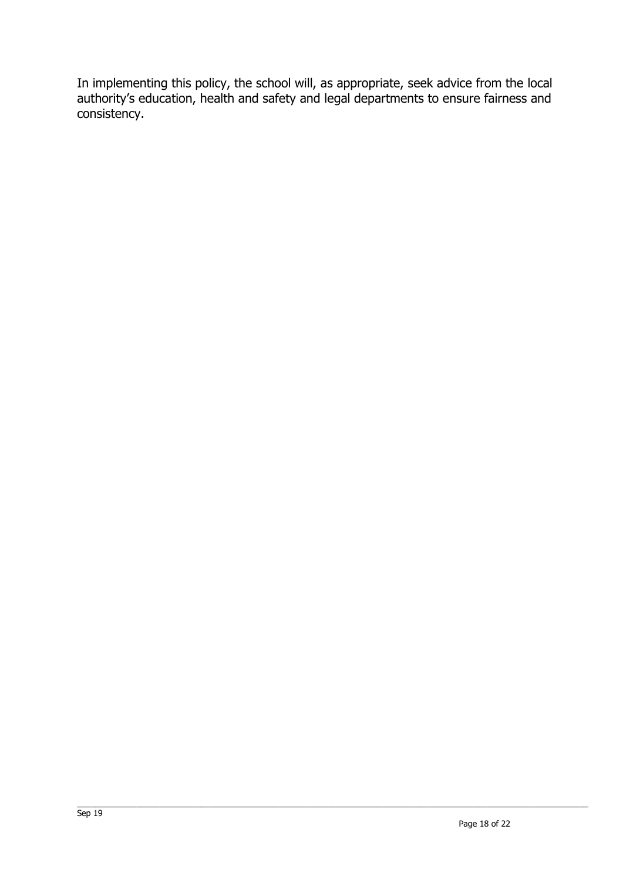In implementing this policy, the school will, as appropriate, seek advice from the local authority's education, health and safety and legal departments to ensure fairness and consistency.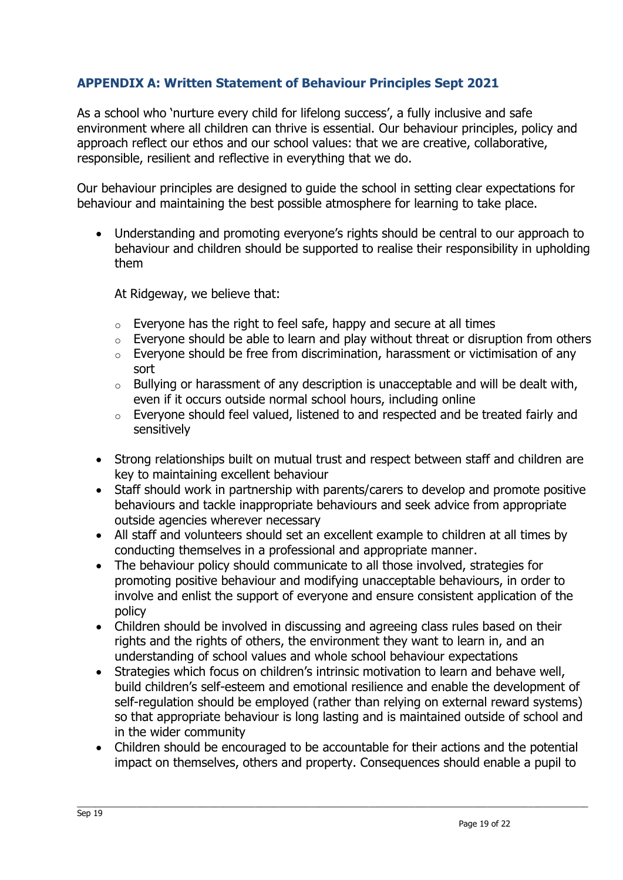#### **APPENDIX A: Written Statement of Behaviour Principles Sept 2021**

As a school who 'nurture every child for lifelong success', a fully inclusive and safe environment where all children can thrive is essential. Our behaviour principles, policy and approach reflect our ethos and our school values: that we are creative, collaborative, responsible, resilient and reflective in everything that we do.

Our behaviour principles are designed to guide the school in setting clear expectations for behaviour and maintaining the best possible atmosphere for learning to take place.

 Understanding and promoting everyone's rights should be central to our approach to behaviour and children should be supported to realise their responsibility in upholding them

At Ridgeway, we believe that:

- $\circ$  Everyone has the right to feel safe, happy and secure at all times
- $\circ$  Everyone should be able to learn and play without threat or disruption from others
- o Everyone should be free from discrimination, harassment or victimisation of any sort
- o Bullying or harassment of any description is unacceptable and will be dealt with, even if it occurs outside normal school hours, including online
- o Everyone should feel valued, listened to and respected and be treated fairly and sensitively
- Strong relationships built on mutual trust and respect between staff and children are key to maintaining excellent behaviour
- Staff should work in partnership with parents/carers to develop and promote positive behaviours and tackle inappropriate behaviours and seek advice from appropriate outside agencies wherever necessary
- All staff and volunteers should set an excellent example to children at all times by conducting themselves in a professional and appropriate manner.
- The behaviour policy should communicate to all those involved, strategies for promoting positive behaviour and modifying unacceptable behaviours, in order to involve and enlist the support of everyone and ensure consistent application of the policy
- Children should be involved in discussing and agreeing class rules based on their rights and the rights of others, the environment they want to learn in, and an understanding of school values and whole school behaviour expectations
- Strategies which focus on children's intrinsic motivation to learn and behave well, build children's self-esteem and emotional resilience and enable the development of self-regulation should be employed (rather than relying on external reward systems) so that appropriate behaviour is long lasting and is maintained outside of school and in the wider community
- Children should be encouraged to be accountable for their actions and the potential impact on themselves, others and property. Consequences should enable a pupil to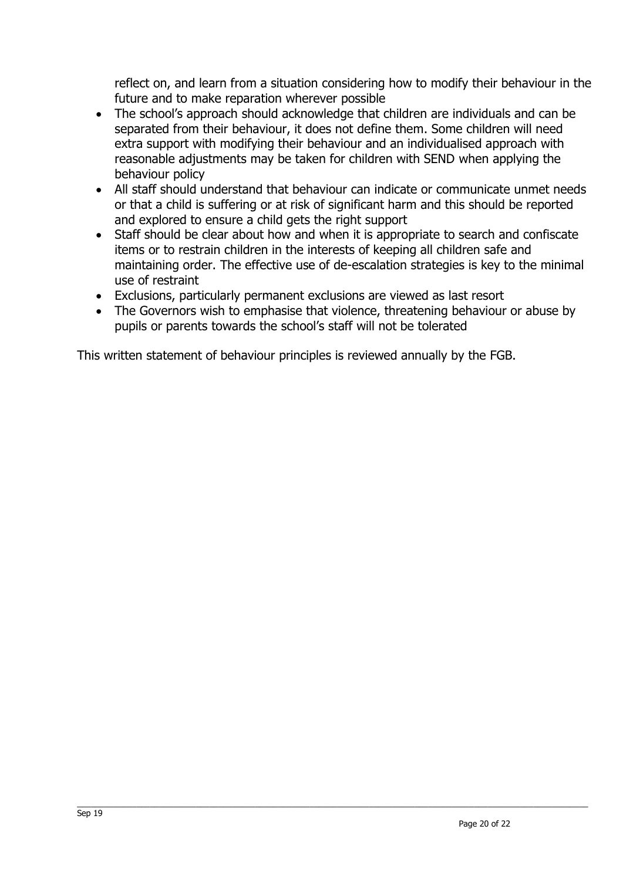reflect on, and learn from a situation considering how to modify their behaviour in the future and to make reparation wherever possible

- The school's approach should acknowledge that children are individuals and can be separated from their behaviour, it does not define them. Some children will need extra support with modifying their behaviour and an individualised approach with reasonable adjustments may be taken for children with SEND when applying the behaviour policy
- All staff should understand that behaviour can indicate or communicate unmet needs or that a child is suffering or at risk of significant harm and this should be reported and explored to ensure a child gets the right support
- Staff should be clear about how and when it is appropriate to search and confiscate items or to restrain children in the interests of keeping all children safe and maintaining order. The effective use of de-escalation strategies is key to the minimal use of restraint
- Exclusions, particularly permanent exclusions are viewed as last resort
- The Governors wish to emphasise that violence, threatening behaviour or abuse by pupils or parents towards the school's staff will not be tolerated

This written statement of behaviour principles is reviewed annually by the FGB.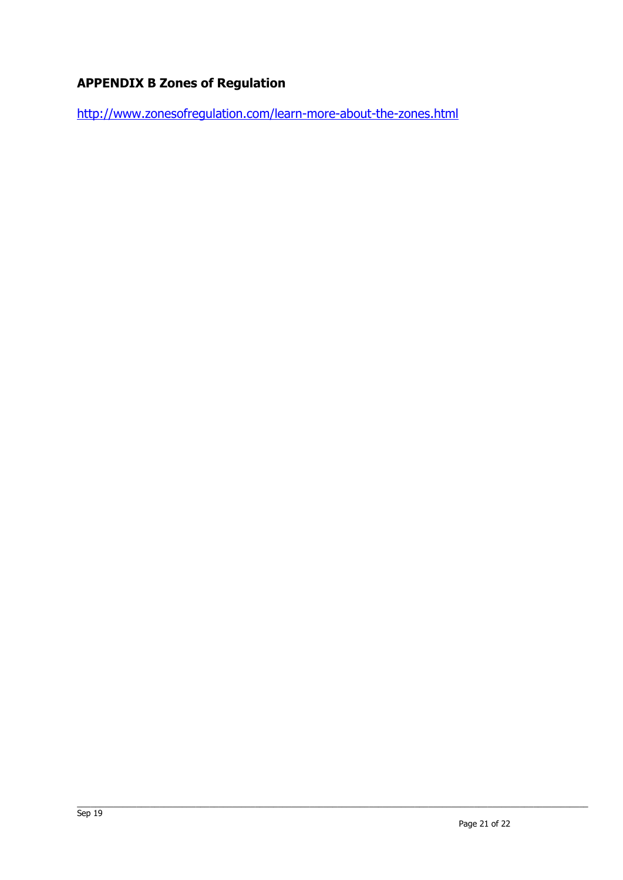#### **APPENDIX B Zones of Regulation**

<http://www.zonesofregulation.com/learn-more-about-the-zones.html>